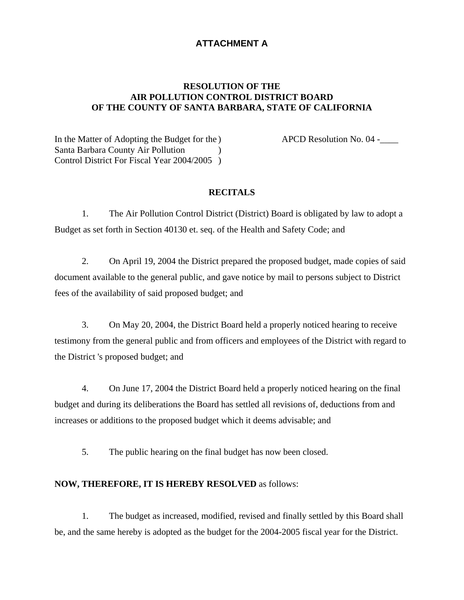## **ATTACHMENT A**

## **RESOLUTION OF THE AIR POLLUTION CONTROL DISTRICT BOARD OF THE COUNTY OF SANTA BARBARA, STATE OF CALIFORNIA**

In the Matter of Adopting the Budget for the ) APCD Resolution No. 04 -\_\_\_\_\_\_\_\_\_\_ Santa Barbara County Air Pollution ) Control District For Fiscal Year 2004/2005 )

## **RECITALS**

 1. The Air Pollution Control District (District) Board is obligated by law to adopt a Budget as set forth in Section 40130 et. seq. of the Health and Safety Code; and

 2. On April 19, 2004 the District prepared the proposed budget, made copies of said document available to the general public, and gave notice by mail to persons subject to District fees of the availability of said proposed budget; and

3. On May 20, 2004, the District Board held a properly noticed hearing to receive testimony from the general public and from officers and employees of the District with regard to the District 's proposed budget; and

4. On June 17, 2004 the District Board held a properly noticed hearing on the final budget and during its deliberations the Board has settled all revisions of, deductions from and increases or additions to the proposed budget which it deems advisable; and

5. The public hearing on the final budget has now been closed.

## **NOW, THEREFORE, IT IS HEREBY RESOLVED** as follows:

1. The budget as increased, modified, revised and finally settled by this Board shall be, and the same hereby is adopted as the budget for the 2004-2005 fiscal year for the District.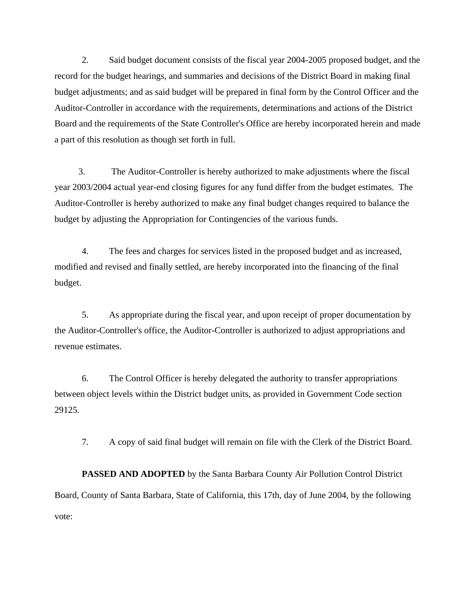2. Said budget document consists of the fiscal year 2004-2005 proposed budget, and the record for the budget hearings, and summaries and decisions of the District Board in making final budget adjustments; and as said budget will be prepared in final form by the Control Officer and the Auditor-Controller in accordance with the requirements, determinations and actions of the District Board and the requirements of the State Controller's Office are hereby incorporated herein and made a part of this resolution as though set forth in full.

3. The Auditor-Controller is hereby authorized to make adjustments where the fiscal year 2003/2004 actual year-end closing figures for any fund differ from the budget estimates. The Auditor-Controller is hereby authorized to make any final budget changes required to balance the budget by adjusting the Appropriation for Contingencies of the various funds.

4. The fees and charges for services listed in the proposed budget and as increased, modified and revised and finally settled, are hereby incorporated into the financing of the final budget.

5. As appropriate during the fiscal year, and upon receipt of proper documentation by the Auditor-Controller's office, the Auditor-Controller is authorized to adjust appropriations and revenue estimates.

6. The Control Officer is hereby delegated the authority to transfer appropriations between object levels within the District budget units, as provided in Government Code section 29125.

7. A copy of said final budget will remain on file with the Clerk of the District Board.

**PASSED AND ADOPTED** by the Santa Barbara County Air Pollution Control District Board, County of Santa Barbara, State of California, this 17th, day of June 2004, by the following vote: